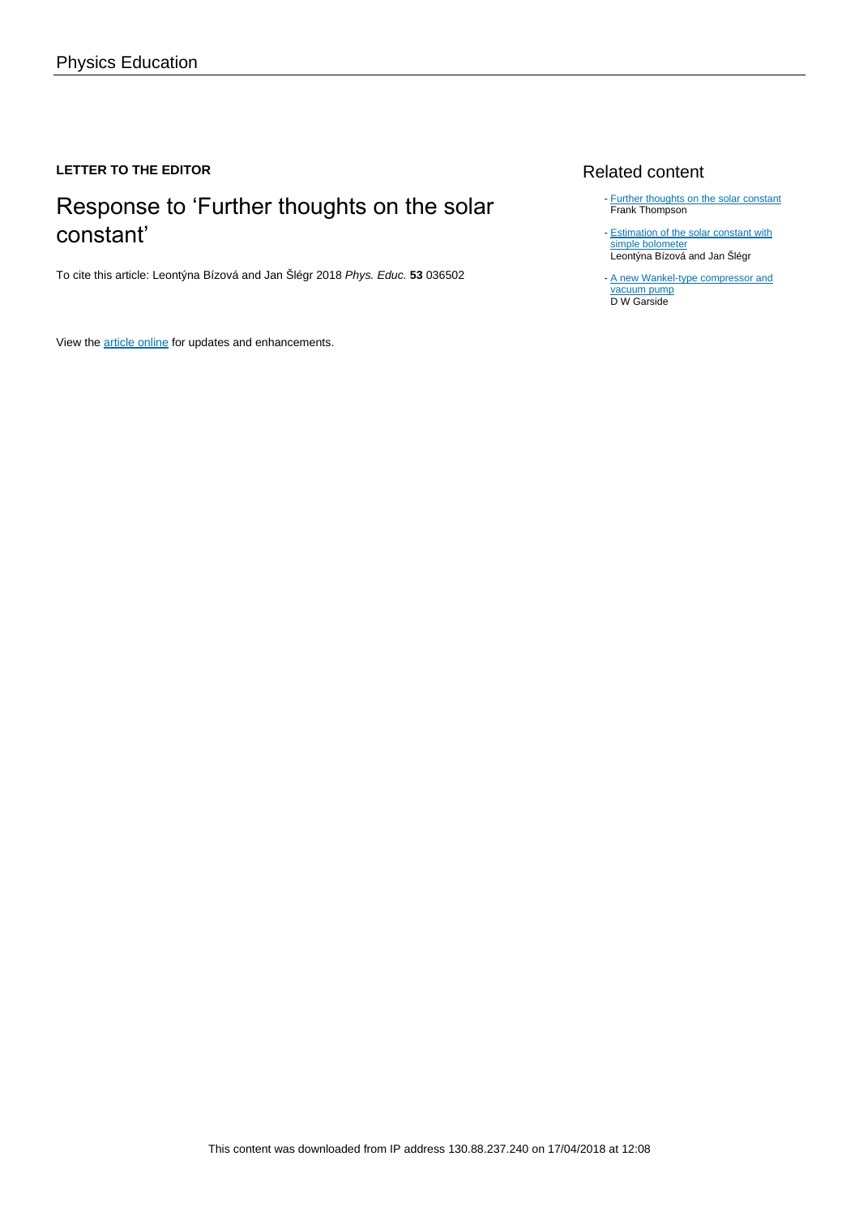### **LETTER TO THE EDITOR**

# Response to 'Further thoughts on the solar constant'

To cite this article: Leontýna Bízová and Jan Šlégr 2018 Phys. Educ. **53** 036502

View the [article online](https://doi.org/10.1088/1361-6552/aab539) for updates and enhancements.

## Related content

- [Further thoughts on the solar constant](http://iopscience.iop.org/article/10.1088/1361-6552/aab53d) Frank Thompson -
- **[Estimation of the solar constant with](http://iopscience.iop.org/article/10.1088/1361-6552/52/1/013008)** [simple bolometer](http://iopscience.iop.org/article/10.1088/1361-6552/52/1/013008) Leontýna Bízová and Jan Šlégr -
- [A new Wankel-type compressor and](http://iopscience.iop.org/article/10.1088/1757-899X/232/1/012065) [vacuum pump](http://iopscience.iop.org/article/10.1088/1757-899X/232/1/012065) D W Garside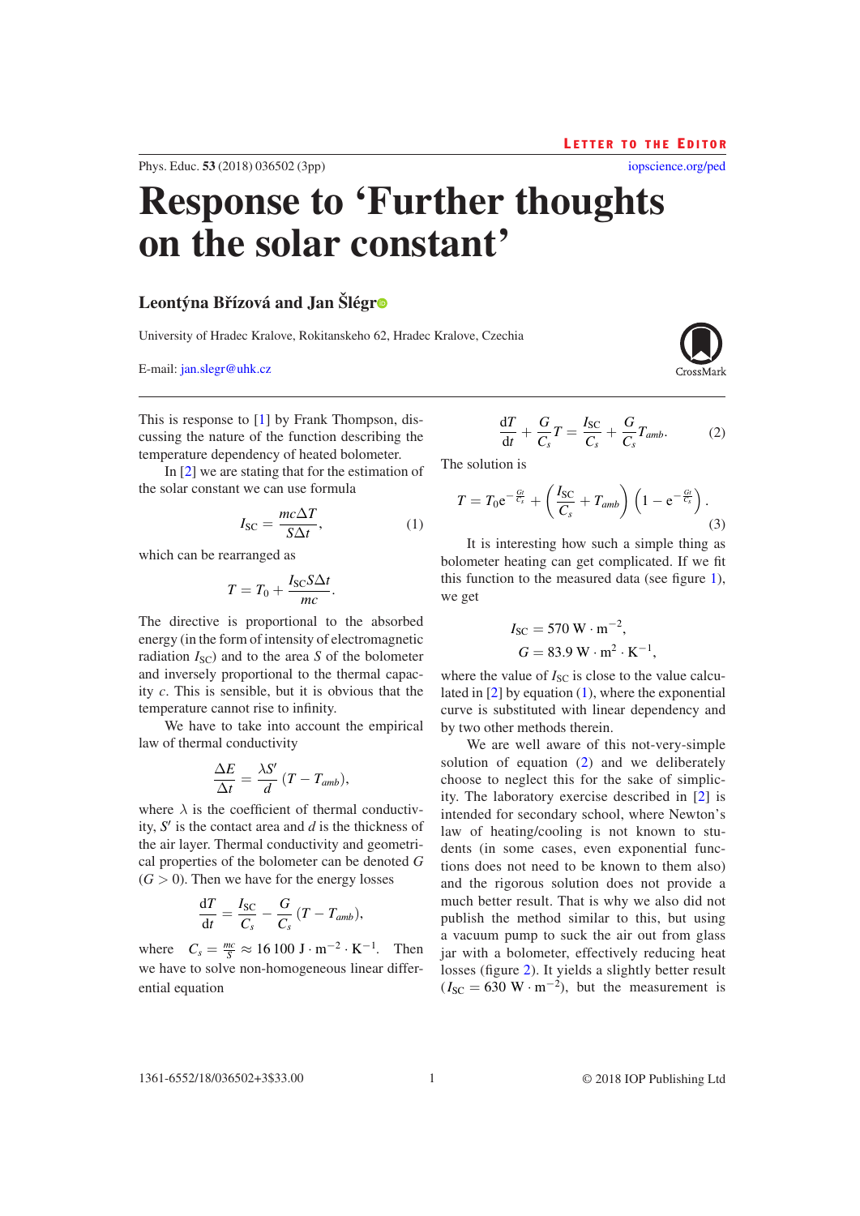ential equation

#### 1 © 2018 IOP Publishing Ltd

 $\frac{dT}{dt} = \frac{I_{SC}}{C_s} - \frac{G}{C_s} (T - T_{amb}),$ 

where  $C_s = \frac{mc}{S} \approx 16100 \text{ J} \cdot \text{m}^{-2} \cdot \text{K}^{-1}$ . Then we have to solve non-homogeneous linear differ-

where  $\lambda$  is the coefficient of thermal conductivity, *S* kness of the air layer. Thermal conductivity and geometrical properties of the bolometer can be denoted *G*  $(G > 0)$ . Then we have for the energy losses

$$
\frac{\Delta E}{\Delta t} = \frac{\lambda S'}{d} (T - T_{amb}),
$$
  
e  $\lambda$  is the coefficient of thermal con-  
' is the contact area and d is the thick

temperature cannot rise to infinity. We have to take into account the empirical law of thermal conductivity

$$
T = T_0 + \frac{3C}{mc}.
$$
  
active is proportional to the  
in the form of intensity of electro

 $I_{\text{SC}} = \frac{mc\Delta T}{S\Delta t}$ , (1) which can be

<span id="page-1-0"></span>
$$
I_{SC} = \frac{1}{S\Delta t}
$$

the solar constant we can use formula

rearranged as  

$$
T = T_0 + \frac{I_{SC} S \Delta t}{m}.
$$

temperature dependency of heated bolometer.

The directive is proportional to the absorbed energy (in the form of intensity of electromagnetic radiation 
$$
I_{\rm SC}
$$
) and to the area S of the bolometer and inversely proportional to the thermal capacity c. This is sensible, but it is obvious that the

It is interesting how such a simple thing as bolometer heating can get complicated. If we fit this function to the measured data (see figure [1\)](#page-2-0), we get

$$
I_{SC} = 570 \text{ W} \cdot \text{m}^{-2},
$$
  

$$
G = 83.9 \text{ W} \cdot \text{m}^{2} \cdot \text{K}^{-1},
$$

where the value of  $I_{SC}$  is close to the value calculated in  $[2]$  $[2]$  by equation  $(1)$  $(1)$ , where the exponential curve is substituted with linear dependency and by two other methods therein.

We are well aware of this not-very-simple solution of equation  $(2)$  $(2)$  and we deliberately choose to neglect this for the sake of simplicity. The laboratory exercise described in [\[2](#page-3-1)] is intended for secondary school, where Newton's law of heating/cooling is not known to students (in some cases, even exponential functions does not need to be known to them also) and the rigorous solution does not provide a much better result. That is why we also did not publish the method similar to this, but using a vacuum pump to suck the air out from glass jar with a bolometer, effectively reducing heat losses (figure [2\)](#page-2-1). It yields a slightly better result  $(I_{SC} = 630 \text{ W} \cdot \text{m}^{-2})$ , but the measurement is

# **Response to 'Further thoughts on the solar constant'**

# **Leontýna Břízová and Jan Šlég[r](https://orcid.org/0000-0001-8202-4062)**

Phys. Educ. **53** (2018) 036502 ([3](#page-3-2)pp)

University of Hradec Kralove, Rokitanskeho 62, Hradec Kralove, Czechia

E-mail: [jan.slegr@uhk.cz](mailto:jan.slegr@uhk.cz)

d*T* + *G*  $T = \frac{I_{SC}}{G}$ + *G Tamb*. (2)

<span id="page-1-1"></span>The solution is

<span id="page-1-2"></span>
$$
T = T_0 e^{-\frac{G_t}{C_s}} + \left(\frac{I_{SC}}{C_s} + T_{amb}\right) \left(1 - e^{-\frac{G_t}{C_s}}\right).
$$
\n(3)

$$
T = T_0 e^{-\frac{Gt}{C_s}} + \left(\frac{I_{SC}}{C_s} + T_{amb}\right) \left(1 - e^{-\frac{Gt}{C_s}}\right).
$$

This is response to [\[1](#page-3-0)] by Frank Thompson, discussing the nature of the function describing the In [[2\]](#page-3-1) we are stating that for the estimation of d*t Cs Cs Cs*

L e t t e r t o t h e E d i t o r [iopscience.org/ped](http://iopscience.org/ped)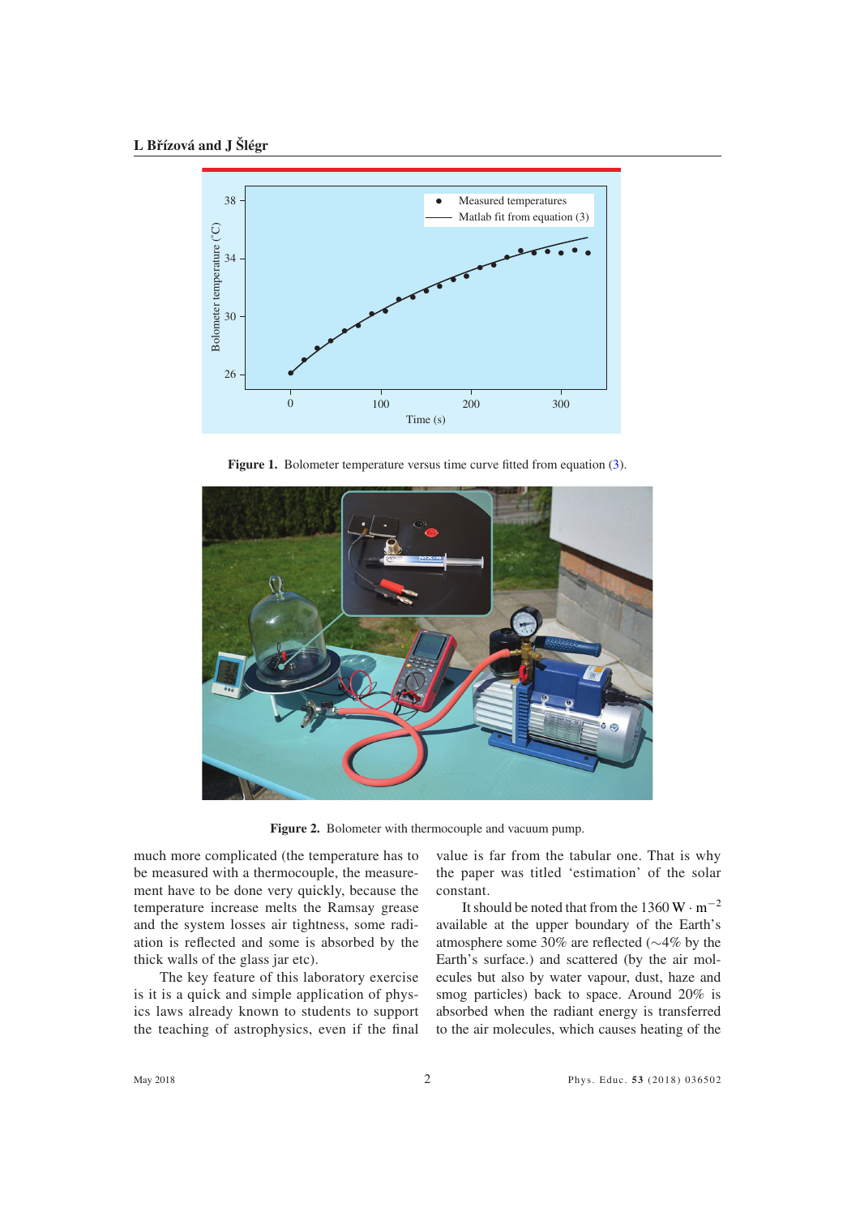<span id="page-2-0"></span>

Figure 1. Bolometer temperature versus time curve fitted from equation [\(3\)](#page-1-2).

<span id="page-2-1"></span>

**Figure 2.** Bolometer with thermocouple and vacuum pump.

much more complicated (the temperature has to be measured with a thermocouple, the measurement have to be done very quickly, because the temperature increase melts the Ramsay grease and the system losses air tightness, some radiation is reflected and some is absorbed by the thick walls of the glass jar etc).

The key feature of this laboratory exercise is it is a quick and simple application of physics laws already known to students to support the teaching of astrophysics, even if the final

value is far from the tabular one. That is why the paper was titled 'estimation' of the solar constant.

It should be noted that from the 1360 W  $\cdot$  m<sup>-2</sup> available at the upper boundary of the Earth's atmosphere some 30% are reflected (∼4% by the Earth's surface.) and scattered (by the air molecules but also by water vapour, dust, haze and smog particles) back to space. Around 20% is absorbed when the radiant energy is transferred to the air molecules, which causes heating of the